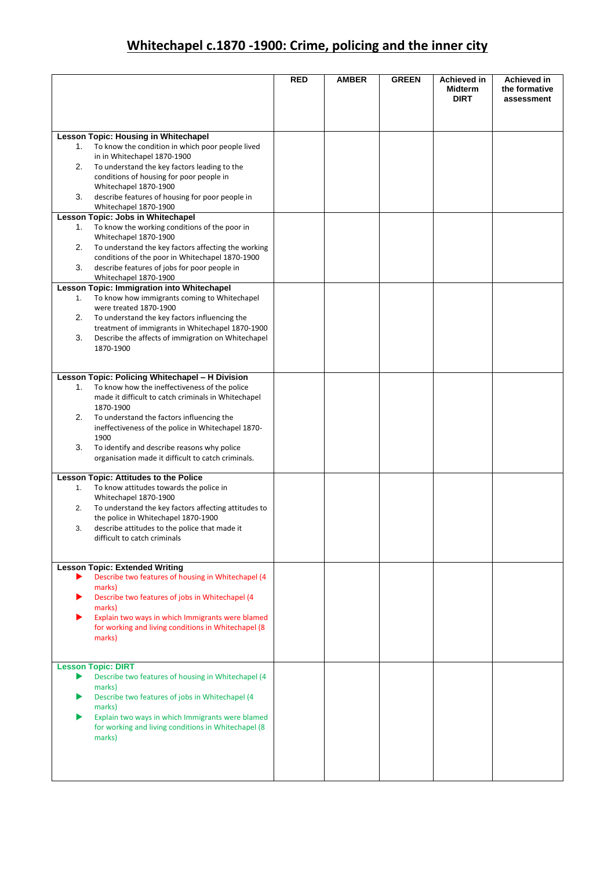## **Whitechapel c.1870 -1900: Crime, policing and the inner city**

|    |                                                                                                        | <b>RED</b> | <b>AMBER</b> | <b>GREEN</b> | <b>Achieved in</b><br><b>Midterm</b><br><b>DIRT</b> | <b>Achieved in</b><br>the formative<br>assessment |
|----|--------------------------------------------------------------------------------------------------------|------------|--------------|--------------|-----------------------------------------------------|---------------------------------------------------|
|    |                                                                                                        |            |              |              |                                                     |                                                   |
|    | <b>Lesson Topic: Housing in Whitechapel</b>                                                            |            |              |              |                                                     |                                                   |
| 1. | To know the condition in which poor people lived<br>in in Whitechapel 1870-1900                        |            |              |              |                                                     |                                                   |
| 2. | To understand the key factors leading to the                                                           |            |              |              |                                                     |                                                   |
|    | conditions of housing for poor people in<br>Whitechapel 1870-1900                                      |            |              |              |                                                     |                                                   |
| 3. | describe features of housing for poor people in                                                        |            |              |              |                                                     |                                                   |
|    | Whitechapel 1870-1900                                                                                  |            |              |              |                                                     |                                                   |
| 1. | Lesson Topic: Jobs in Whitechapel<br>To know the working conditions of the poor in                     |            |              |              |                                                     |                                                   |
|    | Whitechapel 1870-1900                                                                                  |            |              |              |                                                     |                                                   |
| 2. | To understand the key factors affecting the working                                                    |            |              |              |                                                     |                                                   |
| 3. | conditions of the poor in Whitechapel 1870-1900<br>describe features of jobs for poor people in        |            |              |              |                                                     |                                                   |
|    | Whitechapel 1870-1900                                                                                  |            |              |              |                                                     |                                                   |
|    | Lesson Topic: Immigration into Whitechapel                                                             |            |              |              |                                                     |                                                   |
| 1. | To know how immigrants coming to Whitechapel<br>were treated 1870-1900                                 |            |              |              |                                                     |                                                   |
| 2. | To understand the key factors influencing the                                                          |            |              |              |                                                     |                                                   |
| 3. | treatment of immigrants in Whitechapel 1870-1900<br>Describe the affects of immigration on Whitechapel |            |              |              |                                                     |                                                   |
|    | 1870-1900                                                                                              |            |              |              |                                                     |                                                   |
|    |                                                                                                        |            |              |              |                                                     |                                                   |
|    | Lesson Topic: Policing Whitechapel - H Division                                                        |            |              |              |                                                     |                                                   |
| 1. | To know how the ineffectiveness of the police                                                          |            |              |              |                                                     |                                                   |
|    | made it difficult to catch criminals in Whitechapel                                                    |            |              |              |                                                     |                                                   |
| 2. | 1870-1900<br>To understand the factors influencing the                                                 |            |              |              |                                                     |                                                   |
|    | ineffectiveness of the police in Whitechapel 1870-                                                     |            |              |              |                                                     |                                                   |
|    | 1900                                                                                                   |            |              |              |                                                     |                                                   |
| 3. | To identify and describe reasons why police<br>organisation made it difficult to catch criminals.      |            |              |              |                                                     |                                                   |
|    |                                                                                                        |            |              |              |                                                     |                                                   |
|    | <b>Lesson Topic: Attitudes to the Police</b>                                                           |            |              |              |                                                     |                                                   |
| 1. | To know attitudes towards the police in<br>Whitechapel 1870-1900                                       |            |              |              |                                                     |                                                   |
| 2. | To understand the key factors affecting attitudes to                                                   |            |              |              |                                                     |                                                   |
|    | the police in Whitechapel 1870-1900                                                                    |            |              |              |                                                     |                                                   |
| 3. | describe attitudes to the police that made it<br>difficult to catch criminals                          |            |              |              |                                                     |                                                   |
|    |                                                                                                        |            |              |              |                                                     |                                                   |
|    | <b>Lesson Topic: Extended Writing</b>                                                                  |            |              |              |                                                     |                                                   |
| ▶  | Describe two features of housing in Whitechapel (4                                                     |            |              |              |                                                     |                                                   |
|    | marks)                                                                                                 |            |              |              |                                                     |                                                   |
|    | Describe two features of jobs in Whitechapel (4<br>marks)                                              |            |              |              |                                                     |                                                   |
|    | Explain two ways in which Immigrants were blamed                                                       |            |              |              |                                                     |                                                   |
|    | for working and living conditions in Whitechapel (8<br>marks)                                          |            |              |              |                                                     |                                                   |
|    |                                                                                                        |            |              |              |                                                     |                                                   |
|    |                                                                                                        |            |              |              |                                                     |                                                   |
| ▶  | <b>Lesson Topic: DIRT</b><br>Describe two features of housing in Whitechapel (4                        |            |              |              |                                                     |                                                   |
|    | marks)                                                                                                 |            |              |              |                                                     |                                                   |
|    | Describe two features of jobs in Whitechapel (4                                                        |            |              |              |                                                     |                                                   |
|    | marks)<br>Explain two ways in which Immigrants were blamed                                             |            |              |              |                                                     |                                                   |
|    | for working and living conditions in Whitechapel (8                                                    |            |              |              |                                                     |                                                   |
|    | marks)                                                                                                 |            |              |              |                                                     |                                                   |
|    |                                                                                                        |            |              |              |                                                     |                                                   |
|    |                                                                                                        |            |              |              |                                                     |                                                   |
|    |                                                                                                        |            |              |              |                                                     |                                                   |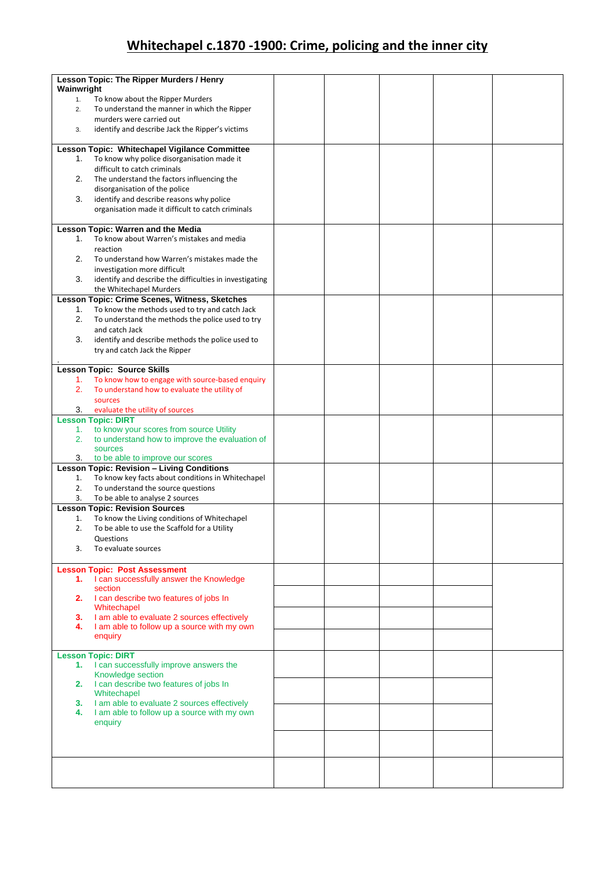## **Whitechapel c.1870 -1900: Crime, policing and the inner city**

|            | Lesson Topic: The Ripper Murders / Henry                |  |  |  |
|------------|---------------------------------------------------------|--|--|--|
| Wainwright |                                                         |  |  |  |
| 1.         | To know about the Ripper Murders                        |  |  |  |
| 2.         | To understand the manner in which the Ripper            |  |  |  |
|            | murders were carried out                                |  |  |  |
| 3.         | identify and describe Jack the Ripper's victims         |  |  |  |
|            |                                                         |  |  |  |
|            |                                                         |  |  |  |
|            | Lesson Topic: Whitechapel Vigilance Committee           |  |  |  |
| 1.         | To know why police disorganisation made it              |  |  |  |
|            | difficult to catch criminals                            |  |  |  |
| 2.         | The understand the factors influencing the              |  |  |  |
|            | disorganisation of the police                           |  |  |  |
| 3.         | identify and describe reasons why police                |  |  |  |
|            | organisation made it difficult to catch criminals       |  |  |  |
|            |                                                         |  |  |  |
|            | Lesson Topic: Warren and the Media                      |  |  |  |
| 1.         | To know about Warren's mistakes and media               |  |  |  |
|            | reaction                                                |  |  |  |
|            |                                                         |  |  |  |
| 2.         | To understand how Warren's mistakes made the            |  |  |  |
|            | investigation more difficult                            |  |  |  |
| 3.         | identify and describe the difficulties in investigating |  |  |  |
|            | the Whitechapel Murders                                 |  |  |  |
|            | Lesson Topic: Crime Scenes, Witness, Sketches           |  |  |  |
| 1.         | To know the methods used to try and catch Jack          |  |  |  |
| 2.         | To understand the methods the police used to try        |  |  |  |
|            | and catch Jack                                          |  |  |  |
| 3.         | identify and describe methods the police used to        |  |  |  |
|            |                                                         |  |  |  |
|            | try and catch Jack the Ripper                           |  |  |  |
|            |                                                         |  |  |  |
|            | <b>Lesson Topic: Source Skills</b>                      |  |  |  |
| 1.         | To know how to engage with source-based enquiry         |  |  |  |
| 2.         | To understand how to evaluate the utility of            |  |  |  |
|            | sources                                                 |  |  |  |
| 3.         | evaluate the utility of sources                         |  |  |  |
|            | <b>Lesson Topic: DIRT</b>                               |  |  |  |
| 1.         | to know your scores from source Utility                 |  |  |  |
| 2.         | to understand how to improve the evaluation of          |  |  |  |
|            | sources                                                 |  |  |  |
| 3.         | to be able to improve our scores                        |  |  |  |
|            | <b>Lesson Topic: Revision - Living Conditions</b>       |  |  |  |
| 1.         | To know key facts about conditions in Whitechapel       |  |  |  |
| 2.         | To understand the source questions                      |  |  |  |
| 3.         | To be able to analyse 2 sources                         |  |  |  |
|            | <b>Lesson Topic: Revision Sources</b>                   |  |  |  |
| 1.         | To know the Living conditions of Whitechapel            |  |  |  |
|            |                                                         |  |  |  |
| 2.         | To be able to use the Scaffold for a Utility            |  |  |  |
|            | Questions                                               |  |  |  |
| 3.         | To evaluate sources                                     |  |  |  |
|            |                                                         |  |  |  |
|            | <b>Lesson Topic: Post Assessment</b>                    |  |  |  |
| 1.         | I can successfully answer the Knowledge                 |  |  |  |
|            | section                                                 |  |  |  |
|            | 2. I can describe two features of jobs In               |  |  |  |
|            | Whitechapel                                             |  |  |  |
| 3.         | I am able to evaluate 2 sources effectively             |  |  |  |
| 4.         | I am able to follow up a source with my own             |  |  |  |
|            | enquiry                                                 |  |  |  |
|            |                                                         |  |  |  |
|            | <b>Lesson Topic: DIRT</b>                               |  |  |  |
| 1.         | I can successfully improve answers the                  |  |  |  |
|            | Knowledge section                                       |  |  |  |
| 2.         | I can describe two features of jobs In                  |  |  |  |
|            | Whitechapel                                             |  |  |  |
| 3.         | I am able to evaluate 2 sources effectively             |  |  |  |
| 4.         | I am able to follow up a source with my own             |  |  |  |
|            | enquiry                                                 |  |  |  |
|            |                                                         |  |  |  |
|            |                                                         |  |  |  |
|            |                                                         |  |  |  |
|            |                                                         |  |  |  |
|            |                                                         |  |  |  |
|            |                                                         |  |  |  |
|            |                                                         |  |  |  |